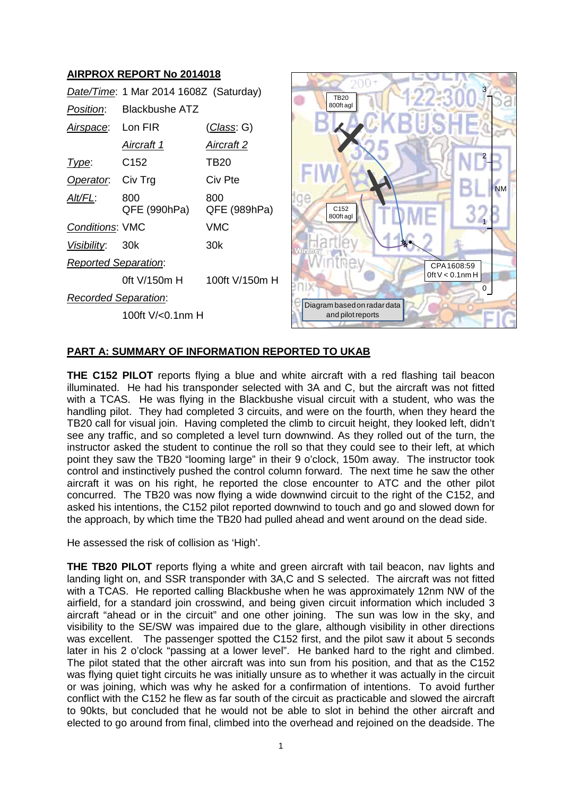# **AIRPROX REPORT No 2014018**

|                             | Date/Time: 1 Mar 2014 1608Z (Saturday) |                     |
|-----------------------------|----------------------------------------|---------------------|
| <i>Position</i> :           | Blackbushe ATZ                         |                     |
| Airspace: Lon FIR           |                                        | (Class: G)          |
|                             | Aircraft 1                             | Aircraft 2          |
| Type:                       | C152                                   | TB20                |
| Operator:                   | Civ Trg                                | Civ Pte             |
| <u>Alt/FL:</u>              | 800<br>QFE (990hPa)                    | 800<br>QFE (989hPa) |
| <b>Conditions: VMC</b>      |                                        | <b>VMC</b>          |
| Visibility: 30k             |                                        | 30k                 |
| <b>Reported Separation:</b> |                                        |                     |
|                             | 0ft V/150m H                           | 100ft V/150m H      |
| <b>Recorded Separation:</b> |                                        |                     |
|                             | 100ft V/<0.1nm H                       |                     |



## **PART A: SUMMARY OF INFORMATION REPORTED TO UKAB**

**THE C152 PILOT** reports flying a blue and white aircraft with a red flashing tail beacon illuminated. He had his transponder selected with 3A and C, but the aircraft was not fitted with a TCAS. He was flying in the Blackbushe visual circuit with a student, who was the handling pilot. They had completed 3 circuits, and were on the fourth, when they heard the TB20 call for visual join. Having completed the climb to circuit height, they looked left, didn't see any traffic, and so completed a level turn downwind. As they rolled out of the turn, the instructor asked the student to continue the roll so that they could see to their left, at which point they saw the TB20 "looming large" in their 9 o'clock, 150m away. The instructor took control and instinctively pushed the control column forward. The next time he saw the other aircraft it was on his right, he reported the close encounter to ATC and the other pilot concurred. The TB20 was now flying a wide downwind circuit to the right of the C152, and asked his intentions, the C152 pilot reported downwind to touch and go and slowed down for the approach, by which time the TB20 had pulled ahead and went around on the dead side.

He assessed the risk of collision as 'High'.

**THE TB20 PILOT** reports flying a white and green aircraft with tail beacon, nav lights and landing light on, and SSR transponder with 3A,C and S selected. The aircraft was not fitted with a TCAS. He reported calling Blackbushe when he was approximately 12nm NW of the airfield, for a standard join crosswind, and being given circuit information which included 3 aircraft "ahead or in the circuit" and one other joining. The sun was low in the sky, and visibility to the SE/SW was impaired due to the glare, although visibility in other directions was excellent. The passenger spotted the C152 first, and the pilot saw it about 5 seconds later in his 2 o'clock "passing at a lower level". He banked hard to the right and climbed. The pilot stated that the other aircraft was into sun from his position, and that as the C152 was flying quiet tight circuits he was initially unsure as to whether it was actually in the circuit or was joining, which was why he asked for a confirmation of intentions. To avoid further conflict with the C152 he flew as far south of the circuit as practicable and slowed the aircraft to 90kts, but concluded that he would not be able to slot in behind the other aircraft and elected to go around from final, climbed into the overhead and rejoined on the deadside. The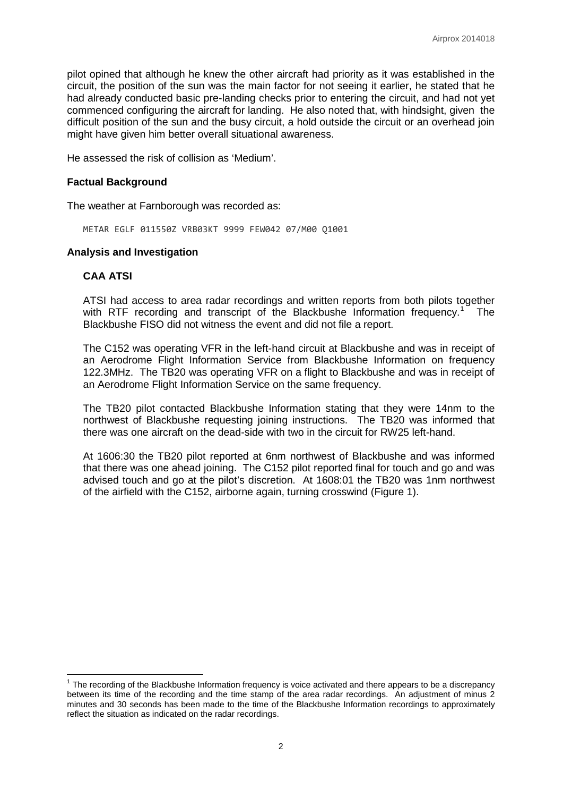pilot opined that although he knew the other aircraft had priority as it was established in the circuit, the position of the sun was the main factor for not seeing it earlier, he stated that he had already conducted basic pre-landing checks prior to entering the circuit, and had not yet commenced configuring the aircraft for landing. He also noted that, with hindsight, given the difficult position of the sun and the busy circuit, a hold outside the circuit or an overhead join might have given him better overall situational awareness.

He assessed the risk of collision as 'Medium'.

#### **Factual Background**

The weather at Farnborough was recorded as:

METAR EGLF 011550Z VRB03KT 9999 FEW042 07/M00 Q1001

### **Analysis and Investigation**

### **CAA ATSI**

ATSI had access to area radar recordings and written reports from both pilots together with RTF recording and transcript of the Blackbushe Information frequency.<sup>[1](#page-1-0)</sup> The Blackbushe FISO did not witness the event and did not file a report.

The C152 was operating VFR in the left-hand circuit at Blackbushe and was in receipt of an Aerodrome Flight Information Service from Blackbushe Information on frequency 122.3MHz. The TB20 was operating VFR on a flight to Blackbushe and was in receipt of an Aerodrome Flight Information Service on the same frequency.

The TB20 pilot contacted Blackbushe Information stating that they were 14nm to the northwest of Blackbushe requesting joining instructions. The TB20 was informed that there was one aircraft on the dead-side with two in the circuit for RW25 left-hand.

At 1606:30 the TB20 pilot reported at 6nm northwest of Blackbushe and was informed that there was one ahead joining. The C152 pilot reported final for touch and go and was advised touch and go at the pilot's discretion. At 1608:01 the TB20 was 1nm northwest of the airfield with the C152, airborne again, turning crosswind (Figure 1).

<span id="page-1-0"></span> $1$  The recording of the Blackbushe Information frequency is voice activated and there appears to be a discrepancy between its time of the recording and the time stamp of the area radar recordings. An adjustment of minus 2 minutes and 30 seconds has been made to the time of the Blackbushe Information recordings to approximately reflect the situation as indicated on the radar recordings.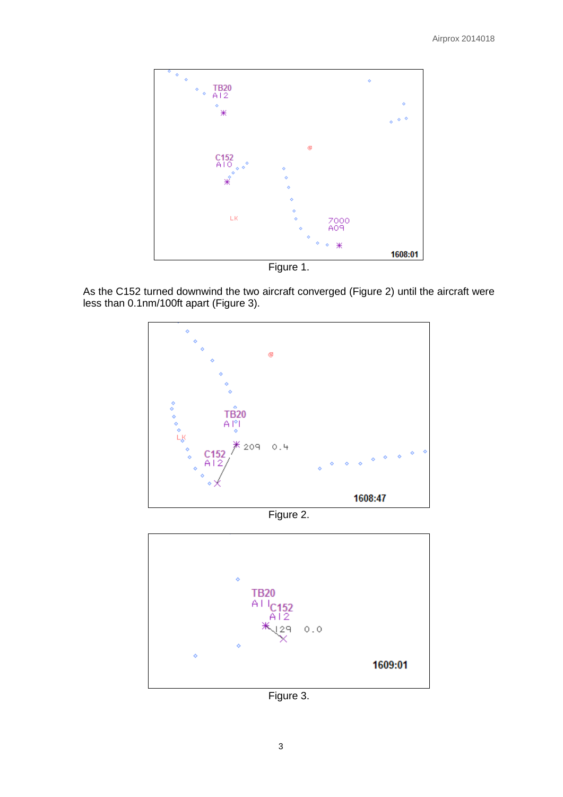

Figure 1.

As the C152 turned downwind the two aircraft converged (Figure 2) until the aircraft were less than 0.1nm/100ft apart (Figure 3).



Figure 2.



Figure 3.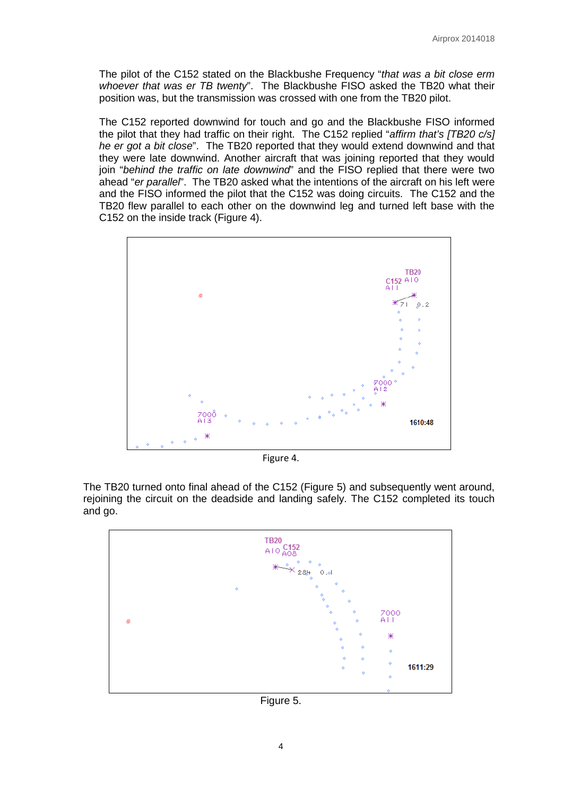The pilot of the C152 stated on the Blackbushe Frequency "*that was a bit close erm whoever that was er TB twenty*". The Blackbushe FISO asked the TB20 what their position was, but the transmission was crossed with one from the TB20 pilot.

The C152 reported downwind for touch and go and the Blackbushe FISO informed the pilot that they had traffic on their right. The C152 replied "*affirm that's [TB20 c/s] he er got a bit close*". The TB20 reported that they would extend downwind and that they were late downwind. Another aircraft that was joining reported that they would join "*behind the traffic on late downwind*" and the FISO replied that there were two ahead "*er parallel*". The TB20 asked what the intentions of the aircraft on his left were and the FISO informed the pilot that the C152 was doing circuits. The C152 and the TB20 flew parallel to each other on the downwind leg and turned left base with the C152 on the inside track (Figure 4).



Figure 4.

The TB20 turned onto final ahead of the C152 (Figure 5) and subsequently went around, rejoining the circuit on the deadside and landing safely. The C152 completed its touch and go.



Figure 5.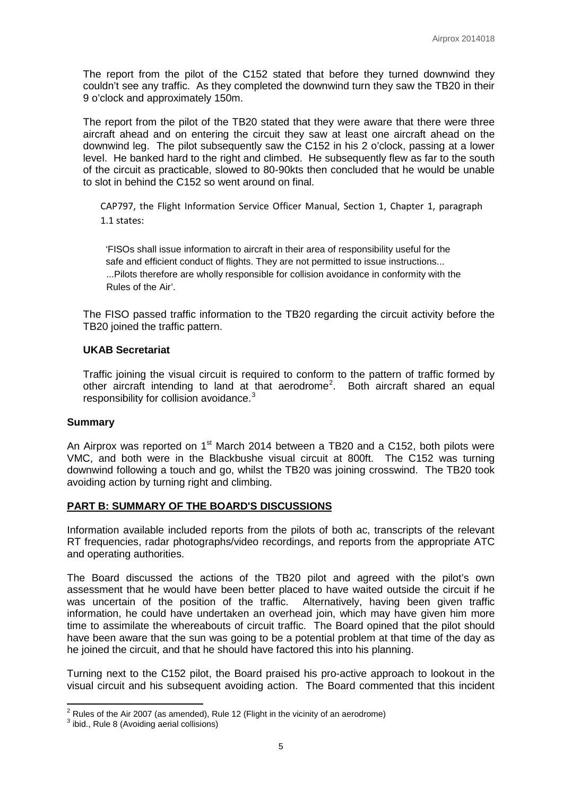The report from the pilot of the C152 stated that before they turned downwind they couldn't see any traffic. As they completed the downwind turn they saw the TB20 in their 9 o'clock and approximately 150m.

The report from the pilot of the TB20 stated that they were aware that there were three aircraft ahead and on entering the circuit they saw at least one aircraft ahead on the downwind leg. The pilot subsequently saw the C152 in his 2 o'clock, passing at a lower level. He banked hard to the right and climbed. He subsequently flew as far to the south of the circuit as practicable, slowed to 80-90kts then concluded that he would be unable to slot in behind the C152 so went around on final.

CAP797, the Flight Information Service Officer Manual, Section 1, Chapter 1, paragraph 1.1 states:

 'FISOs shall issue information to aircraft in their area of responsibility useful for the safe and efficient conduct of flights. They are not permitted to issue instructions... ...Pilots therefore are wholly responsible for collision avoidance in conformity with the Rules of the Air'.

The FISO passed traffic information to the TB20 regarding the circuit activity before the TB20 joined the traffic pattern.

### **UKAB Secretariat**

Traffic joining the visual circuit is required to conform to the pattern of traffic formed by other aircraft intending to land at that aerodrome<sup>[2](#page-4-0)</sup>. Both aircraft shared an equal responsibility for collision avoidance. $3$ 

#### **Summary**

An Airprox was reported on  $1<sup>st</sup>$  March 2014 between a TB20 and a C152, both pilots were VMC, and both were in the Blackbushe visual circuit at 800ft. The C152 was turning downwind following a touch and go, whilst the TB20 was joining crosswind. The TB20 took avoiding action by turning right and climbing.

## **PART B: SUMMARY OF THE BOARD'S DISCUSSIONS**

Information available included reports from the pilots of both ac, transcripts of the relevant RT frequencies, radar photographs/video recordings, and reports from the appropriate ATC and operating authorities.

The Board discussed the actions of the TB20 pilot and agreed with the pilot's own assessment that he would have been better placed to have waited outside the circuit if he was uncertain of the position of the traffic. Alternatively, having been given traffic information, he could have undertaken an overhead join, which may have given him more time to assimilate the whereabouts of circuit traffic. The Board opined that the pilot should have been aware that the sun was going to be a potential problem at that time of the day as he joined the circuit, and that he should have factored this into his planning.

Turning next to the C152 pilot, the Board praised his pro-active approach to lookout in the visual circuit and his subsequent avoiding action. The Board commented that this incident

<span id="page-4-1"></span><span id="page-4-0"></span><sup>&</sup>lt;sup>2</sup> Rules of the Air 2007 (as amended), Rule 12 (Flight in the vicinity of an aerodrome)  $^3$  ibid., Rule 8 (Avoiding aerial collisions)